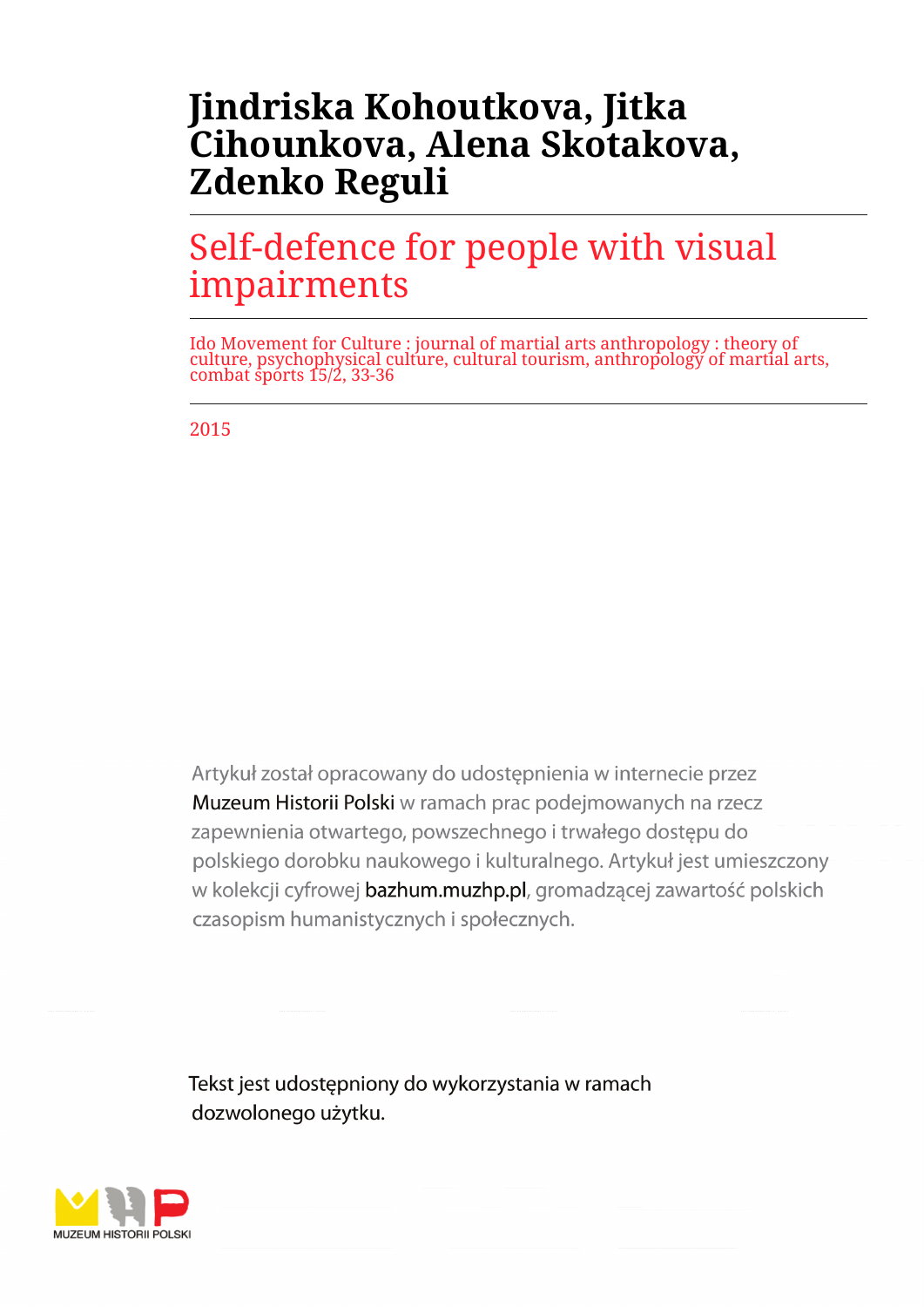## **Jindriska Kohoutkova, Jitka Cihounkova, Alena Skotakova, Zdenko Reguli**

# Self-defence for people with visual impairments

Ido Movement for Culture : journal of martial arts anthropology : theory of culture, psychophysical culture, cultural tourism, anthropology of martial arts, combat sports 15/2, 33-36

2015

Artykuł został opracowany do udostepnienia w internecie przez Muzeum Historii Polski w ramach prac podejmowanych na rzecz zapewnienia otwartego, powszechnego i trwałego dostępu do polskiego dorobku naukowego i kulturalnego. Artykuł jest umieszczony w kolekcji cyfrowej bazhum.muzhp.pl, gromadzącej zawartość polskich czasopism humanistycznych i społecznych.

Tekst jest udostępniony do wykorzystania w ramach dozwolonego użytku.

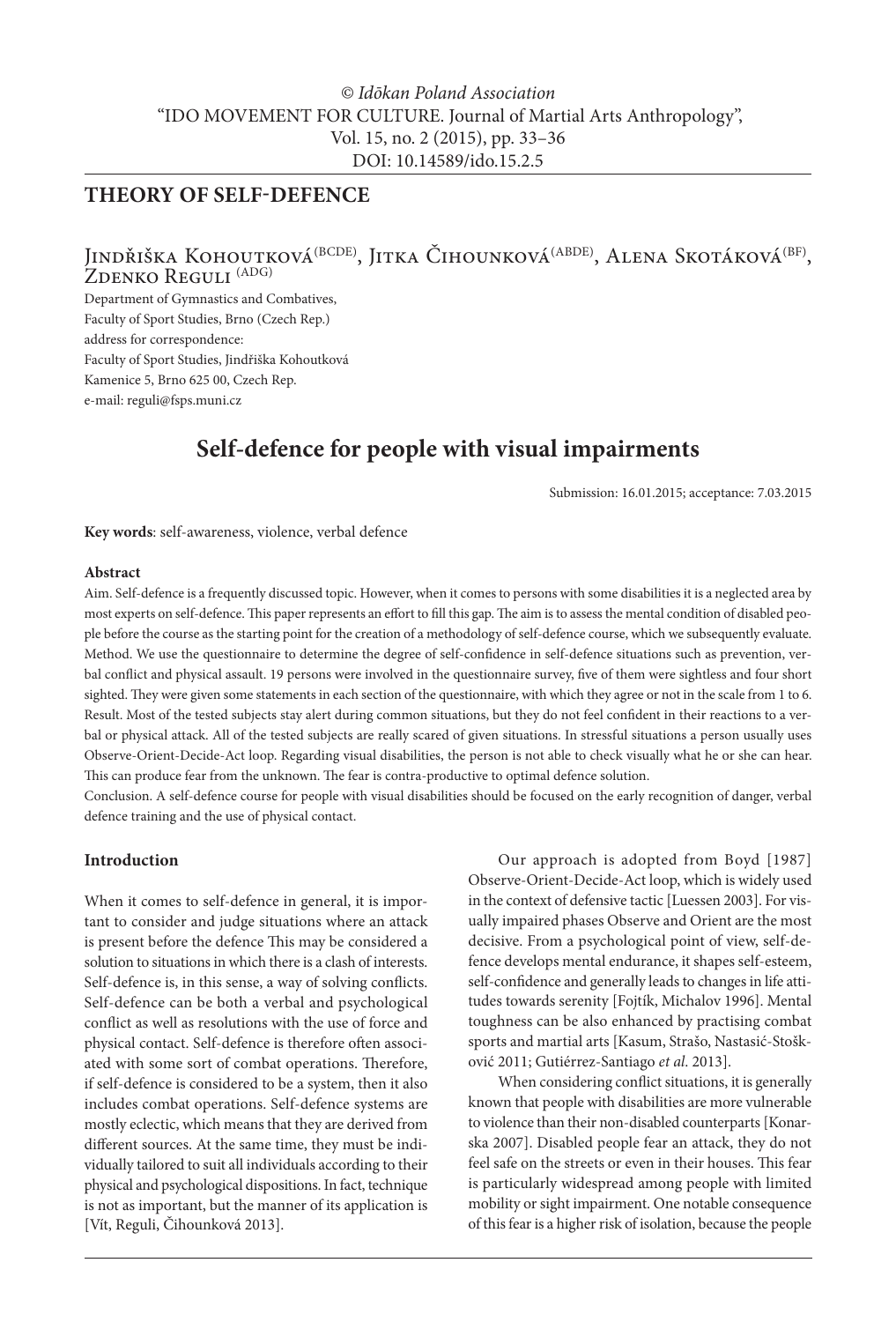### *© Idōkan Poland Association* "IDO MOVEMENT FOR CULTURE. Journal of Martial Arts Anthropology", Vol. 15, no. 2 (2015), pp. 33–36 DOI: 10.14589/ido.15.2.5

### **THEORY OF SELF-DEFENCE**

# Jindřiška Kohoutková<sup>(BCDE)</sup>, Jitka Čihounková<sup>(ABDE)</sup>, Alena Skotáková<sup>(BF)</sup>, Zdenko Reguli <sup>(ADG)</sup>

Department of Gymnastics and Combatives, Faculty of Sport Studies, Brno (Czech Rep.) address for correspondence: Faculty of Sport Studies, Jindřiška Kohoutková Kamenice 5, Brno 625 00, Czech Rep. e-mail: reguli@fsps.muni.cz

### **Self-defence for people with visual impairments**

Submission: 16.01.2015; acceptance: 7.03.2015

**Key words**: self-awareness, violence, verbal defence

#### **Abstract**

Aim. Self-defence is a frequently discussed topic. However, when it comes to persons with some disabilities it is a neglected area by most experts on self-defence. This paper represents an effort to fill this gap. The aim is to assess the mental condition of disabled people before the course as the starting point for the creation of a methodology of self-defence course, which we subsequently evaluate. Method. We use the questionnaire to determine the degree of self-confidence in self-defence situations such as prevention, verbal conflict and physical assault. 19 persons were involved in the questionnaire survey, five of them were sightless and four short sighted. They were given some statements in each section of the questionnaire, with which they agree or not in the scale from 1 to 6. Result. Most of the tested subjects stay alert during common situations, but they do not feel confident in their reactions to a verbal or physical attack. All of the tested subjects are really scared of given situations. In stressful situations a person usually uses Observe-Orient-Decide-Act loop. Regarding visual disabilities, the person is not able to check visually what he or she can hear. This can produce fear from the unknown. The fear is contra-productive to optimal defence solution.

Conclusion. A self-defence course for people with visual disabilities should be focused on the early recognition of danger, verbal defence training and the use of physical contact.

#### **Introduction**

When it comes to self-defence in general, it is important to consider and judge situations where an attack is present before the defence This may be considered a solution to situations in which there is a clash of interests. Self-defence is, in this sense, a way of solving conflicts. Self-defence can be both a verbal and psychological conflict as well as resolutions with the use of force and physical contact. Self-defence is therefore often associated with some sort of combat operations. Therefore, if self-defence is considered to be a system, then it also includes combat operations. Self-defence systems are mostly eclectic, which means that they are derived from different sources. At the same time, they must be individually tailored to suit all individuals according to their physical and psychological dispositions. In fact, technique is not as important, but the manner of its application is [Vít, Reguli, Čihounková 2013].

Our approach is adopted from Boyd [1987] Observe-Orient-Decide-Act loop, which is widely used in the context of defensive tactic [Luessen 2003]. For visually impaired phases Observe and Orient are the most decisive. From a psychological point of view, self-defence develops mental endurance, it shapes self-esteem, self-confidence and generally leads to changes in life attitudes towards serenity [Fojtík, Michalov 1996]. Mental toughness can be also enhanced by practising combat sports and martial arts [Kasum, Strašo, Nastasić-Stošković 2011; Gutiérrez-Santiago *et al*. 2013].

When considering conflict situations, it is generally known that people with disabilities are more vulnerable to violence than their non-disabled counterparts [Konarska 2007]. Disabled people fear an attack, they do not feel safe on the streets or even in their houses. This fear is particularly widespread among people with limited mobility or sight impairment. One notable consequence of this fear is a higher risk of isolation, because the people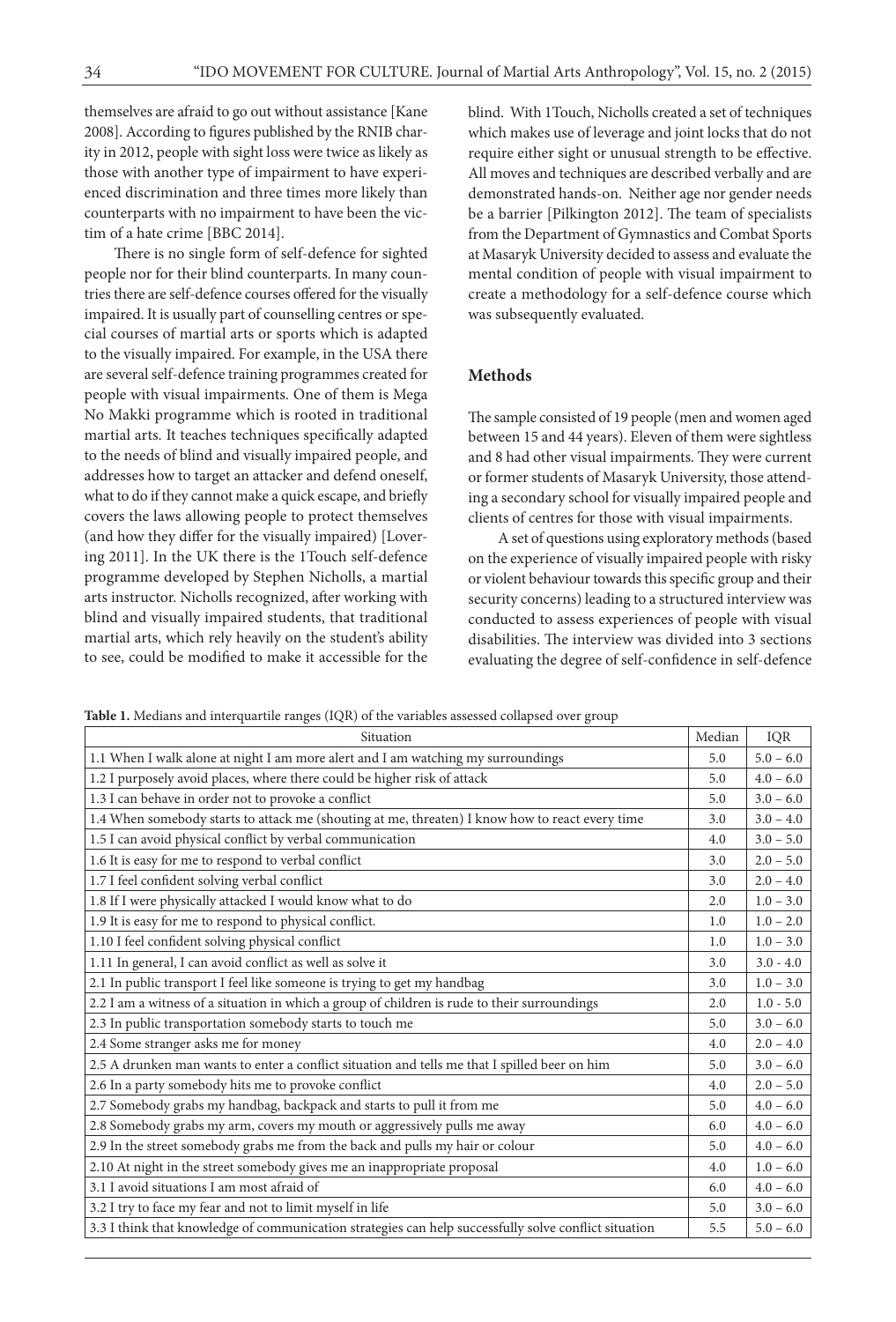themselves are afraid to go out without assistance [Kane 2008]. According to figures published by the RNIB charity in 2012, people with sight loss were twice as likely as those with another type of impairment to have experienced discrimination and three times more likely than counterparts with no impairment to have been the victim of a hate crime [BBC 2014].

There is no single form of self-defence for sighted people nor for their blind counterparts. In many countries there are self-defence courses offered for the visually impaired. It is usually part of counselling centres or special courses of martial arts or sports which is adapted to the visually impaired. For example, in the USA there are several self-defence training programmes created for people with visual impairments. One of them is Mega No Makki programme which is rooted in traditional martial arts. It teaches techniques specifically adapted to the needs of blind and visually impaired people, and addresses how to target an attacker and defend oneself, what to do if they cannot make a quick escape, and briefly covers the laws allowing people to protect themselves (and how they differ for the visually impaired) [Lovering 2011]. In the UK there is the 1Touch self-defence programme developed by Stephen Nicholls, a martial arts instructor. Nicholls recognized, after working with blind and visually impaired students, that traditional martial arts, which rely heavily on the student's ability to see, could be modified to make it accessible for the blind. With 1Touch, Nicholls created a set of techniques which makes use of leverage and joint locks that do not require either sight or unusual strength to be effective. All moves and techniques are described verbally and are demonstrated hands-on. Neither age nor gender needs be a barrier [Pilkington 2012]. The team of specialists from the Department of Gymnastics and Combat Sports at Masaryk University decided to assess and evaluate the mental condition of people with visual impairment to create a methodology for a self-defence course which was subsequently evaluated.

#### **Methods**

The sample consisted of 19 people (men and women aged between 15 and 44 years). Eleven of them were sightless and 8 had other visual impairments. They were current or former students of Masaryk University, those attending a secondary school for visually impaired people and clients of centres for those with visual impairments.

A set of questions using exploratory methods (based on the experience of visually impaired people with risky or violent behaviour towards this specific group and their security concerns) leading to a structured interview was conducted to assess experiences of people with visual disabilities. The interview was divided into 3 sections evaluating the degree of self-confidence in self-defence

**Table 1.** Medians and interquartile ranges (IQR) of the variables assessed collapsed over group

| Median<br>IQR<br>Situation<br>1.1 When I walk alone at night I am more alert and I am watching my surroundings<br>$5.0 - 6.0$<br>5.0<br>1.2 I purposely avoid places, where there could be higher risk of attack<br>$4.0 - 6.0$<br>5.0<br>1.3 I can behave in order not to provoke a conflict<br>$3.0 - 6.0$<br>5.0<br>1.4 When somebody starts to attack me (shouting at me, threaten) I know how to react every time<br>$3.0 - 4.0$<br>3.0<br>1.5 I can avoid physical conflict by verbal communication<br>$3.0 - 5.0$<br>4.0<br>1.6 It is easy for me to respond to verbal conflict<br>$2.0 - 5.0$<br>3.0<br>1.7 I feel confident solving verbal conflict<br>$2.0 - 4.0$<br>3.0<br>1.8 If I were physically attacked I would know what to do<br>$1.0 - 3.0$<br>2.0<br>1.9 It is easy for me to respond to physical conflict.<br>$1.0 - 2.0$<br>1.0<br>1.10 I feel confident solving physical conflict<br>$1.0 - 3.0$<br>1.0<br>1.11 In general, I can avoid conflict as well as solve it<br>$3.0 - 4.0$<br>3.0<br>2.1 In public transport I feel like someone is trying to get my handbag<br>$1.0 - 3.0$<br>3.0<br>2.2 I am a witness of a situation in which a group of children is rude to their surroundings<br>$1.0 - 5.0$<br>2.0<br>2.3 In public transportation somebody starts to touch me<br>$3.0 - 6.0$<br>5.0<br>2.4 Some stranger asks me for money<br>$2.0 - 4.0$<br>4.0<br>2.5 A drunken man wants to enter a conflict situation and tells me that I spilled beer on him<br>$3.0 - 6.0$<br>5.0<br>2.6 In a party somebody hits me to provoke conflict<br>$2.0 - 5.0$<br>4.0<br>2.7 Somebody grabs my handbag, backpack and starts to pull it from me<br>$4.0 - 6.0$<br>5.0<br>2.8 Somebody grabs my arm, covers my mouth or aggressively pulls me away<br>$4.0 - 6.0$<br>6.0<br>2.9 In the street somebody grabs me from the back and pulls my hair or colour<br>$4.0 - 6.0$<br>5.0<br>2.10 At night in the street somebody gives me an inappropriate proposal<br>$1.0 - 6.0$<br>4.0<br>3.1 I avoid situations I am most afraid of<br>$4.0 - 6.0$<br>6.0<br>3.2 I try to face my fear and not to limit myself in life<br>$3.0 - 6.0$<br>5.0<br>3.3 I think that knowledge of communication strategies can help successfully solve conflict situation<br>5.5 | Table 1. Medialis and interqual the ranges (TQK) or the variables assessed conapsed over group |  |
|-----------------------------------------------------------------------------------------------------------------------------------------------------------------------------------------------------------------------------------------------------------------------------------------------------------------------------------------------------------------------------------------------------------------------------------------------------------------------------------------------------------------------------------------------------------------------------------------------------------------------------------------------------------------------------------------------------------------------------------------------------------------------------------------------------------------------------------------------------------------------------------------------------------------------------------------------------------------------------------------------------------------------------------------------------------------------------------------------------------------------------------------------------------------------------------------------------------------------------------------------------------------------------------------------------------------------------------------------------------------------------------------------------------------------------------------------------------------------------------------------------------------------------------------------------------------------------------------------------------------------------------------------------------------------------------------------------------------------------------------------------------------------------------------------------------------------------------------------------------------------------------------------------------------------------------------------------------------------------------------------------------------------------------------------------------------------------------------------------------------------------------------------------------------------------------------------------------------------------------------------------------------------------|------------------------------------------------------------------------------------------------|--|
|                                                                                                                                                                                                                                                                                                                                                                                                                                                                                                                                                                                                                                                                                                                                                                                                                                                                                                                                                                                                                                                                                                                                                                                                                                                                                                                                                                                                                                                                                                                                                                                                                                                                                                                                                                                                                                                                                                                                                                                                                                                                                                                                                                                                                                                                             |                                                                                                |  |
|                                                                                                                                                                                                                                                                                                                                                                                                                                                                                                                                                                                                                                                                                                                                                                                                                                                                                                                                                                                                                                                                                                                                                                                                                                                                                                                                                                                                                                                                                                                                                                                                                                                                                                                                                                                                                                                                                                                                                                                                                                                                                                                                                                                                                                                                             |                                                                                                |  |
|                                                                                                                                                                                                                                                                                                                                                                                                                                                                                                                                                                                                                                                                                                                                                                                                                                                                                                                                                                                                                                                                                                                                                                                                                                                                                                                                                                                                                                                                                                                                                                                                                                                                                                                                                                                                                                                                                                                                                                                                                                                                                                                                                                                                                                                                             |                                                                                                |  |
| $5.0 - 6.0$                                                                                                                                                                                                                                                                                                                                                                                                                                                                                                                                                                                                                                                                                                                                                                                                                                                                                                                                                                                                                                                                                                                                                                                                                                                                                                                                                                                                                                                                                                                                                                                                                                                                                                                                                                                                                                                                                                                                                                                                                                                                                                                                                                                                                                                                 |                                                                                                |  |
|                                                                                                                                                                                                                                                                                                                                                                                                                                                                                                                                                                                                                                                                                                                                                                                                                                                                                                                                                                                                                                                                                                                                                                                                                                                                                                                                                                                                                                                                                                                                                                                                                                                                                                                                                                                                                                                                                                                                                                                                                                                                                                                                                                                                                                                                             |                                                                                                |  |
|                                                                                                                                                                                                                                                                                                                                                                                                                                                                                                                                                                                                                                                                                                                                                                                                                                                                                                                                                                                                                                                                                                                                                                                                                                                                                                                                                                                                                                                                                                                                                                                                                                                                                                                                                                                                                                                                                                                                                                                                                                                                                                                                                                                                                                                                             |                                                                                                |  |
|                                                                                                                                                                                                                                                                                                                                                                                                                                                                                                                                                                                                                                                                                                                                                                                                                                                                                                                                                                                                                                                                                                                                                                                                                                                                                                                                                                                                                                                                                                                                                                                                                                                                                                                                                                                                                                                                                                                                                                                                                                                                                                                                                                                                                                                                             |                                                                                                |  |
|                                                                                                                                                                                                                                                                                                                                                                                                                                                                                                                                                                                                                                                                                                                                                                                                                                                                                                                                                                                                                                                                                                                                                                                                                                                                                                                                                                                                                                                                                                                                                                                                                                                                                                                                                                                                                                                                                                                                                                                                                                                                                                                                                                                                                                                                             |                                                                                                |  |
|                                                                                                                                                                                                                                                                                                                                                                                                                                                                                                                                                                                                                                                                                                                                                                                                                                                                                                                                                                                                                                                                                                                                                                                                                                                                                                                                                                                                                                                                                                                                                                                                                                                                                                                                                                                                                                                                                                                                                                                                                                                                                                                                                                                                                                                                             |                                                                                                |  |
|                                                                                                                                                                                                                                                                                                                                                                                                                                                                                                                                                                                                                                                                                                                                                                                                                                                                                                                                                                                                                                                                                                                                                                                                                                                                                                                                                                                                                                                                                                                                                                                                                                                                                                                                                                                                                                                                                                                                                                                                                                                                                                                                                                                                                                                                             |                                                                                                |  |
|                                                                                                                                                                                                                                                                                                                                                                                                                                                                                                                                                                                                                                                                                                                                                                                                                                                                                                                                                                                                                                                                                                                                                                                                                                                                                                                                                                                                                                                                                                                                                                                                                                                                                                                                                                                                                                                                                                                                                                                                                                                                                                                                                                                                                                                                             |                                                                                                |  |
|                                                                                                                                                                                                                                                                                                                                                                                                                                                                                                                                                                                                                                                                                                                                                                                                                                                                                                                                                                                                                                                                                                                                                                                                                                                                                                                                                                                                                                                                                                                                                                                                                                                                                                                                                                                                                                                                                                                                                                                                                                                                                                                                                                                                                                                                             |                                                                                                |  |
|                                                                                                                                                                                                                                                                                                                                                                                                                                                                                                                                                                                                                                                                                                                                                                                                                                                                                                                                                                                                                                                                                                                                                                                                                                                                                                                                                                                                                                                                                                                                                                                                                                                                                                                                                                                                                                                                                                                                                                                                                                                                                                                                                                                                                                                                             |                                                                                                |  |
|                                                                                                                                                                                                                                                                                                                                                                                                                                                                                                                                                                                                                                                                                                                                                                                                                                                                                                                                                                                                                                                                                                                                                                                                                                                                                                                                                                                                                                                                                                                                                                                                                                                                                                                                                                                                                                                                                                                                                                                                                                                                                                                                                                                                                                                                             |                                                                                                |  |
|                                                                                                                                                                                                                                                                                                                                                                                                                                                                                                                                                                                                                                                                                                                                                                                                                                                                                                                                                                                                                                                                                                                                                                                                                                                                                                                                                                                                                                                                                                                                                                                                                                                                                                                                                                                                                                                                                                                                                                                                                                                                                                                                                                                                                                                                             |                                                                                                |  |
|                                                                                                                                                                                                                                                                                                                                                                                                                                                                                                                                                                                                                                                                                                                                                                                                                                                                                                                                                                                                                                                                                                                                                                                                                                                                                                                                                                                                                                                                                                                                                                                                                                                                                                                                                                                                                                                                                                                                                                                                                                                                                                                                                                                                                                                                             |                                                                                                |  |
|                                                                                                                                                                                                                                                                                                                                                                                                                                                                                                                                                                                                                                                                                                                                                                                                                                                                                                                                                                                                                                                                                                                                                                                                                                                                                                                                                                                                                                                                                                                                                                                                                                                                                                                                                                                                                                                                                                                                                                                                                                                                                                                                                                                                                                                                             |                                                                                                |  |
|                                                                                                                                                                                                                                                                                                                                                                                                                                                                                                                                                                                                                                                                                                                                                                                                                                                                                                                                                                                                                                                                                                                                                                                                                                                                                                                                                                                                                                                                                                                                                                                                                                                                                                                                                                                                                                                                                                                                                                                                                                                                                                                                                                                                                                                                             |                                                                                                |  |
|                                                                                                                                                                                                                                                                                                                                                                                                                                                                                                                                                                                                                                                                                                                                                                                                                                                                                                                                                                                                                                                                                                                                                                                                                                                                                                                                                                                                                                                                                                                                                                                                                                                                                                                                                                                                                                                                                                                                                                                                                                                                                                                                                                                                                                                                             |                                                                                                |  |
|                                                                                                                                                                                                                                                                                                                                                                                                                                                                                                                                                                                                                                                                                                                                                                                                                                                                                                                                                                                                                                                                                                                                                                                                                                                                                                                                                                                                                                                                                                                                                                                                                                                                                                                                                                                                                                                                                                                                                                                                                                                                                                                                                                                                                                                                             |                                                                                                |  |
|                                                                                                                                                                                                                                                                                                                                                                                                                                                                                                                                                                                                                                                                                                                                                                                                                                                                                                                                                                                                                                                                                                                                                                                                                                                                                                                                                                                                                                                                                                                                                                                                                                                                                                                                                                                                                                                                                                                                                                                                                                                                                                                                                                                                                                                                             |                                                                                                |  |
|                                                                                                                                                                                                                                                                                                                                                                                                                                                                                                                                                                                                                                                                                                                                                                                                                                                                                                                                                                                                                                                                                                                                                                                                                                                                                                                                                                                                                                                                                                                                                                                                                                                                                                                                                                                                                                                                                                                                                                                                                                                                                                                                                                                                                                                                             |                                                                                                |  |
|                                                                                                                                                                                                                                                                                                                                                                                                                                                                                                                                                                                                                                                                                                                                                                                                                                                                                                                                                                                                                                                                                                                                                                                                                                                                                                                                                                                                                                                                                                                                                                                                                                                                                                                                                                                                                                                                                                                                                                                                                                                                                                                                                                                                                                                                             |                                                                                                |  |
|                                                                                                                                                                                                                                                                                                                                                                                                                                                                                                                                                                                                                                                                                                                                                                                                                                                                                                                                                                                                                                                                                                                                                                                                                                                                                                                                                                                                                                                                                                                                                                                                                                                                                                                                                                                                                                                                                                                                                                                                                                                                                                                                                                                                                                                                             |                                                                                                |  |
|                                                                                                                                                                                                                                                                                                                                                                                                                                                                                                                                                                                                                                                                                                                                                                                                                                                                                                                                                                                                                                                                                                                                                                                                                                                                                                                                                                                                                                                                                                                                                                                                                                                                                                                                                                                                                                                                                                                                                                                                                                                                                                                                                                                                                                                                             |                                                                                                |  |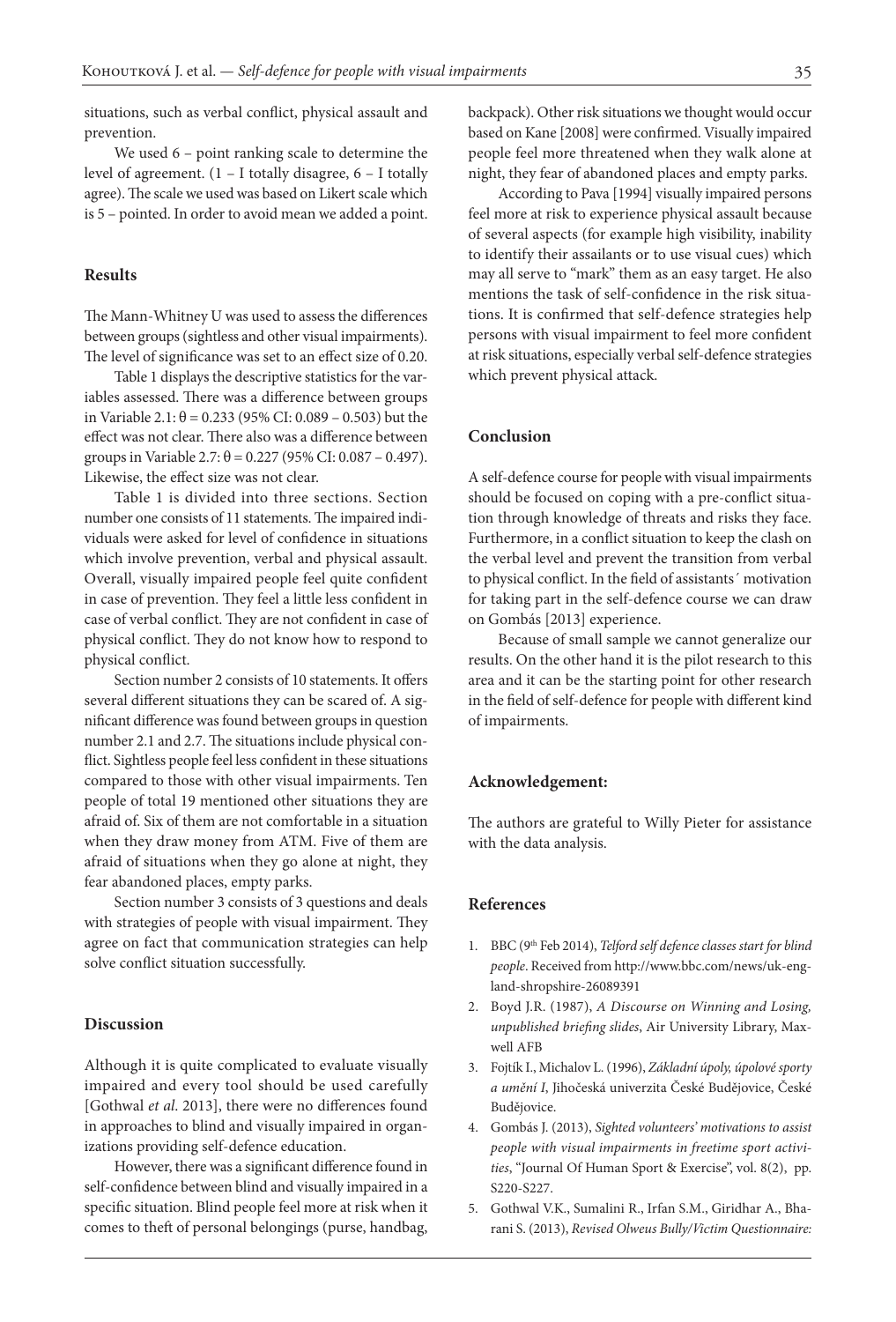situations, such as verbal conflict, physical assault and prevention.

We used 6 – point ranking scale to determine the level of agreement. (1 – I totally disagree, 6 – I totally agree). The scale we used was based on Likert scale which is 5 – pointed. In order to avoid mean we added a point.

#### **Results**

The Mann-Whitney U was used to assess the differences between groups (sightless and other visual impairments). The level of significance was set to an effect size of 0.20.

Table 1 displays the descriptive statistics for the variables assessed. There was a difference between groups in Variable 2.1: θ = 0.233 (95% CI: 0.089 – 0.503) but the effect was not clear. There also was a difference between groups in Variable 2.7:  $\theta$  = 0.227 (95% CI: 0.087 – 0.497). Likewise, the effect size was not clear.

Table 1 is divided into three sections. Section number one consists of 11 statements. The impaired individuals were asked for level of confidence in situations which involve prevention, verbal and physical assault. Overall, visually impaired people feel quite confident in case of prevention. They feel a little less confident in case of verbal conflict. They are not confident in case of physical conflict. They do not know how to respond to physical conflict.

Section number 2 consists of 10 statements. It offers several different situations they can be scared of. A significant difference was found between groups in question number 2.1 and 2.7. The situations include physical conflict. Sightless people feel less confident in these situations compared to those with other visual impairments. Ten people of total 19 mentioned other situations they are afraid of. Six of them are not comfortable in a situation when they draw money from ATM. Five of them are afraid of situations when they go alone at night, they fear abandoned places, empty parks.

Section number 3 consists of 3 questions and deals with strategies of people with visual impairment. They agree on fact that communication strategies can help solve conflict situation successfully.

#### **Discussion**

Although it is quite complicated to evaluate visually impaired and every tool should be used carefully [Gothwal *et al*. 2013], there were no differences found in approaches to blind and visually impaired in organizations providing self-defence education.

However, there was a significant difference found in self-confidence between blind and visually impaired in a specific situation. Blind people feel more at risk when it comes to theft of personal belongings (purse, handbag,

backpack). Other risk situations we thought would occur based on Kane [2008] were confirmed. Visually impaired people feel more threatened when they walk alone at night, they fear of abandoned places and empty parks.

According to Pava [1994] visually impaired persons feel more at risk to experience physical assault because of several aspects (for example high visibility, inability to identify their assailants or to use visual cues) which may all serve to "mark" them as an easy target. He also mentions the task of self-confidence in the risk situations. It is confirmed that self-defence strategies help persons with visual impairment to feel more confident at risk situations, especially verbal self-defence strategies which prevent physical attack.

#### **Conclusion**

A self-defence course for people with visual impairments should be focused on coping with a pre-conflict situation through knowledge of threats and risks they face. Furthermore, in a conflict situation to keep the clash on the verbal level and prevent the transition from verbal to physical conflict. In the field of assistants´ motivation for taking part in the self-defence course we can draw on Gombás [2013] experience.

Because of small sample we cannot generalize our results. On the other hand it is the pilot research to this area and it can be the starting point for other research in the field of self-defence for people with different kind of impairments.

#### **Acknowledgement:**

The authors are grateful to Willy Pieter for assistance with the data analysis.

#### **References**

- 1. BBC (9th Feb 2014), *Telford self defence classes start for blind people*. Received from http://www.bbc.com/news/uk-england-shropshire-26089391
- 2. Boyd J.R. (1987), *A Discourse on Winning and Losing, unpublished briefing slides*, Air University Library, Maxwell AFB
- 3. Fojtík I., Michalov L. (1996), *Základní úpoly, úpolové sporty a umění I*, Jihočeská univerzita České Budějovice, České Budějovice.
- 4. Gombás J. (2013), *Sighted volunteers' motivations to assist people with visual impairments in freetime sport activities*, "Journal Of Human Sport & Exercise", vol. 8(2), pp. S220-S227.
- 5. Gothwal V.K., Sumalini R., Irfan S.M., Giridhar A., Bharani S. (2013), *Revised Olweus Bully/Victim Questionnaire:*